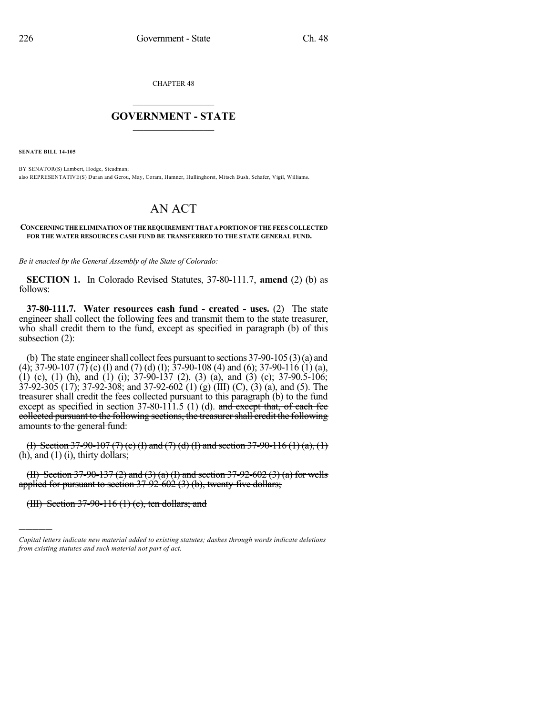CHAPTER 48

## $\overline{\phantom{a}}$  . The set of the set of the set of the set of the set of the set of the set of the set of the set of the set of the set of the set of the set of the set of the set of the set of the set of the set of the set o **GOVERNMENT - STATE**  $\_$

**SENATE BILL 14-105**

BY SENATOR(S) Lambert, Hodge, Steadman; also REPRESENTATIVE(S) Duran and Gerou, May, Coram, Hamner, Hullinghorst, Mitsch Bush, Schafer, Vigil, Williams.

## AN ACT

## **CONCERNINGTHEELIMINATION OFTHEREQUIREMENTTHATAPORTIONOFTHEFEES COLLECTED FOR THE WATER RESOURCES CASH FUND BE TRANSFERRED TO THE STATE GENERAL FUND.**

*Be it enacted by the General Assembly of the State of Colorado:*

**SECTION 1.** In Colorado Revised Statutes, 37-80-111.7, **amend** (2) (b) as follows:

**37-80-111.7. Water resources cash fund - created - uses.** (2) The state engineer shall collect the following fees and transmit them to the state treasurer, who shall credit them to the fund, except as specified in paragraph (b) of this subsection (2):

(b) The state engineer shall collect fees pursuant to sections  $37-90-105(3)(a)$  and (4); 37-90-107 (7) (c) (I) and (7) (d) (I); 37-90-108 (4) and (6); 37-90-116 (1) (a), (1) (c), (1) (h), and (1) (i);  $37-90-137$  (2), (3) (a), and (3) (c);  $37-90.5-106$ ;  $37-92-305$  (17); 37-92-308; and 37-92-602 (1) (g) (III) (C), (3) (a), and (5). The treasurer shall credit the fees collected pursuant to this paragraph (b) to the fund except as specified in section  $37-80-111.5$  (1) (d). and except that, of each fee collected pursuant to the following sections, the treasurershall credit the following amounts to the general fund:

(I) Section 37-90-107 (7) (e) (I) and (7) (d) (I) and section 37-90-116 (1) (a), (1)  $(h)$ , and  $(1)$   $(i)$ , thirty dollars;

(II) Section 37-90-137 (2) and (3) (a) (I) and section 37-92-602 (3) (a) for wells applied for pursuant to section  $37-92-602$  (3) (b), twenty-five dollars;

(III) Section 37-90-116 (1) (c), ten dollars; and

)))))

*Capital letters indicate new material added to existing statutes; dashes through words indicate deletions from existing statutes and such material not part of act.*